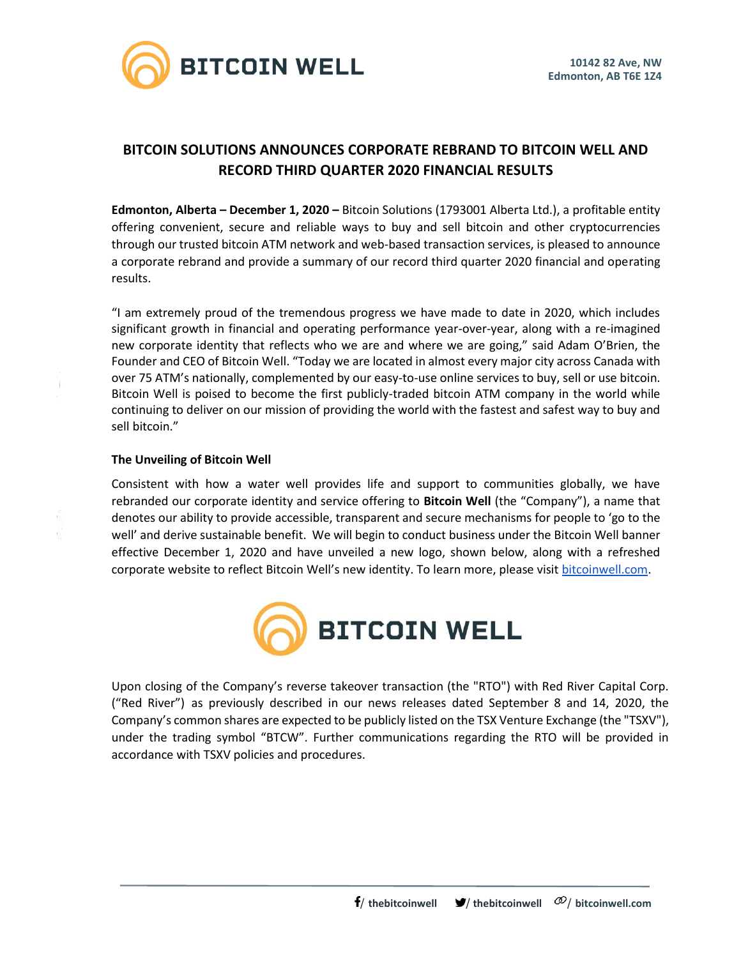

# **BITCOIN SOLUTIONS ANNOUNCES CORPORATE REBRAND TO BITCOIN WELL AND RECORD THIRD QUARTER 2020 FINANCIAL RESULTS**

**Edmonton, Alberta – December 1, 2020 –** Bitcoin Solutions (1793001 Alberta Ltd.), a profitable entity offering convenient, secure and reliable ways to buy and sell bitcoin and other cryptocurrencies through our trusted bitcoin ATM network and web-based transaction services, is pleased to announce a corporate rebrand and provide a summary of our record third quarter 2020 financial and operating results.

"I am extremely proud of the tremendous progress we have made to date in 2020, which includes significant growth in financial and operating performance year-over-year, along with a re-imagined new corporate identity that reflects who we are and where we are going," said Adam O'Brien, the Founder and CEO of Bitcoin Well. "Today we are located in almost every major city across Canada with over 75 ATM's nationally, complemented by our easy-to-use online services to buy, sell or use bitcoin. Bitcoin Well is poised to become the first publicly-traded bitcoin ATM company in the world while continuing to deliver on our mission of providing the world with the fastest and safest way to buy and sell bitcoin."

### **The Unveiling of Bitcoin Well**

Consistent with how a water well provides life and support to communities globally, we have rebranded our corporate identity and service offering to **Bitcoin Well** (the "Company"), a name that denotes our ability to provide accessible, transparent and secure mechanisms for people to 'go to the well' and derive sustainable benefit. We will begin to conduct business under the Bitcoin Well banner effective December 1, 2020 and have unveiled a new logo, shown below, along with a refreshed corporate website to reflect Bitcoin Well's new identity. To learn more, please visit [bitcoinwell.com.](https://bitcoinwell.com/)



Upon closing of the Company's reverse takeover transaction (the "RTO") with Red River Capital Corp. ("Red River") as previously described in our news releases dated September 8 and 14, 2020, the Company's common shares are expected to be publicly listed on the TSX Venture Exchange (the "TSXV"), under the trading symbol "BTCW". Further communications regarding the RTO will be provided in accordance with TSXV policies and procedures.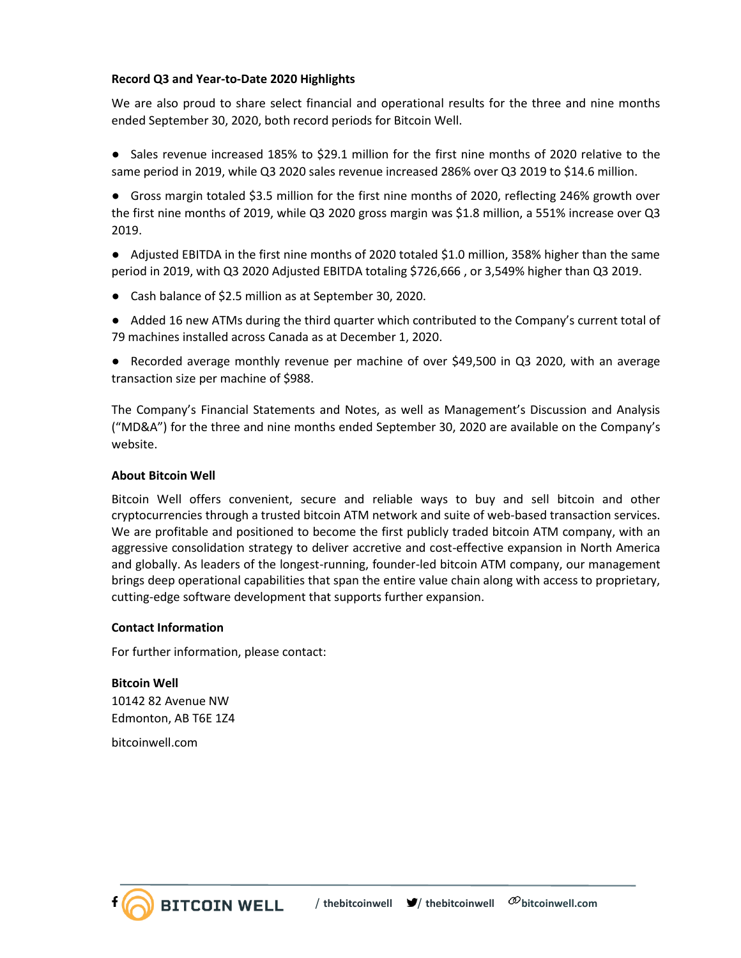## **Record Q3 and Year-to-Date 2020 Highlights**

We are also proud to share select financial and operational results for the three and nine months ended September 30, 2020, both record periods for Bitcoin Well.

● Sales revenue increased 185% to \$29.1 million for the first nine months of 2020 relative to the same period in 2019, while Q3 2020 sales revenue increased 286% over Q3 2019 to \$14.6 million.

● Gross margin totaled \$3.5 million for the first nine months of 2020, reflecting 246% growth over the first nine months of 2019, while Q3 2020 gross margin was \$1.8 million, a 551% increase over Q3 2019.

● Adjusted EBITDA in the first nine months of 2020 totaled \$1.0 million, 358% higher than the same period in 2019, with Q3 2020 Adjusted EBITDA totaling \$726,666 , or 3,549% higher than Q3 2019.

● Cash balance of \$2.5 million as at September 30, 2020.

● Added 16 new ATMs during the third quarter which contributed to the Company's current total of 79 machines installed across Canada as at December 1, 2020.

● Recorded average monthly revenue per machine of over \$49,500 in Q3 2020, with an average transaction size per machine of \$988.

The Company's Financial Statements and Notes, as well as Management's Discussion and Analysis ("MD&A") for the three and nine months ended September 30, 2020 are available on the Company's website.

#### **About Bitcoin Well**

Bitcoin Well offers convenient, secure and reliable ways to buy and sell bitcoin and other cryptocurrencies through a trusted bitcoin ATM network and suite of web-based transaction services. We are profitable and positioned to become the first publicly traded bitcoin ATM company, with an aggressive consolidation strategy to deliver accretive and cost-effective expansion in North America and globally. As leaders of the longest-running, founder-led bitcoin ATM company, our management brings deep operational capabilities that span the entire value chain along with access to proprietary, cutting-edge software development that supports further expansion.

#### **Contact Information**

For further information, please contact:

**BITCOIN WELL** 

**Bitcoin Well** 10142 82 Avenue NW Edmonton, AB T6E 1Z4

bitcoinwell.com